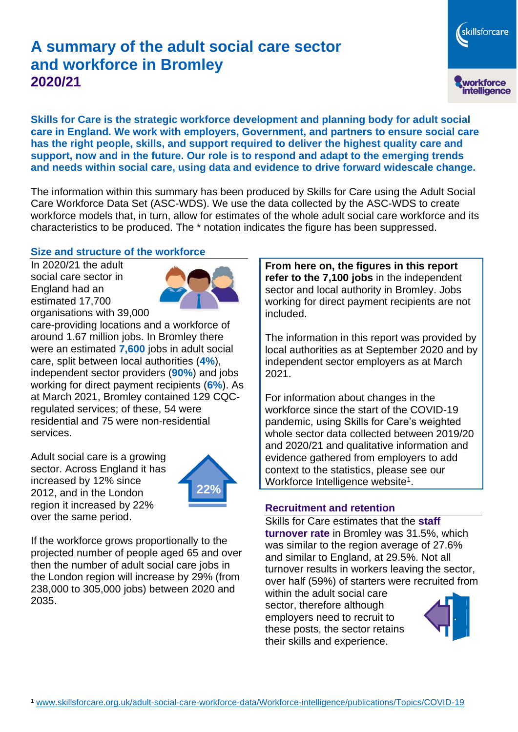# **A summary of the adult social care sector and workforce in Bromley 2020/21**

skillsforcare workforce<br>intelligence

**Skills for Care is the strategic workforce development and planning body for adult social care in England. We work with employers, Government, and partners to ensure social care has the right people, skills, and support required to deliver the highest quality care and support, now and in the future. Our role is to respond and adapt to the emerging trends and needs within social care, using data and evidence to drive forward widescale change.**

The information within this summary has been produced by Skills for Care using the Adult Social Care Workforce Data Set (ASC-WDS). We use the data collected by the ASC-WDS to create workforce models that, in turn, allow for estimates of the whole adult social care workforce and its characteristics to be produced. The \* notation indicates the figure has been suppressed.

#### **Size and structure of the workforce**

In 2020/21 the adult social care sector in England had an estimated 17,700 organisations with 39,000



care-providing locations and a workforce of around 1.67 million jobs. In Bromley there were an estimated **7,600** jobs in adult social care, split between local authorities (**4%**), independent sector providers (**90%**) and jobs working for direct payment recipients (**6%**). As at March 2021, Bromley contained 129 CQCregulated services; of these, 54 were residential and 75 were non-residential services.

Adult social care is a growing sector. Across England it has increased by 12% since 2012, and in the London region it increased by 22% over the same period.



If the workforce grows proportionally to the projected number of people aged 65 and over then the number of adult social care jobs in the London region will increase by 29% (from 238,000 to 305,000 jobs) between 2020 and 2035.

**From here on, the figures in this report refer to the 7,100 jobs** in the independent sector and local authority in Bromley. Jobs working for direct payment recipients are not included.

The information in this report was provided by local authorities as at September 2020 and by independent sector employers as at March 2021.

For information about changes in the workforce since the start of the COVID-19 pandemic, using Skills for Care's weighted whole sector data collected between 2019/20 and 2020/21 and qualitative information and evidence gathered from employers to add context to the statistics, please see our Workforce Intelligence website<sup>1</sup>.

#### **Recruitment and retention**

Skills for Care estimates that the **staff turnover rate** in Bromley was 31.5%, which was similar to the region average of 27.6% and similar to England, at 29.5%. Not all turnover results in workers leaving the sector, over half (59%) of starters were recruited from

within the adult social care sector, therefore although employers need to recruit to these posts, the sector retains their skills and experience.

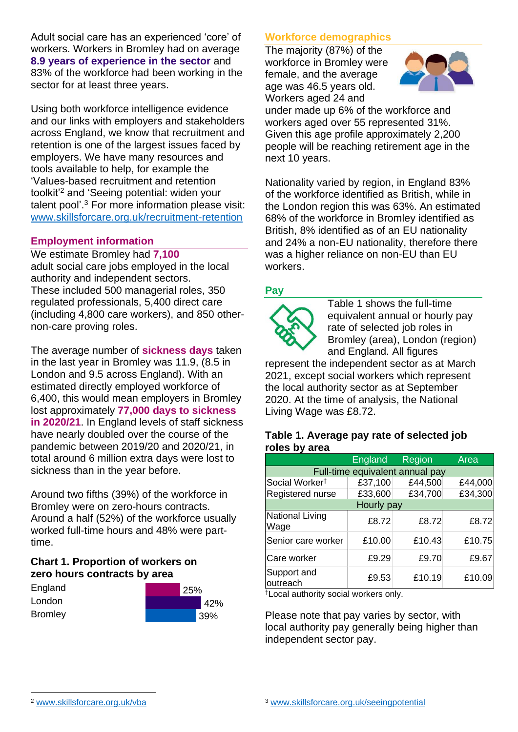Adult social care has an experienced 'core' of workers. Workers in Bromley had on average **8.9 years of experience in the sector** and 83% of the workforce had been working in the sector for at least three years.

Using both workforce intelligence evidence and our links with employers and stakeholders across England, we know that recruitment and retention is one of the largest issues faced by employers. We have many resources and tools available to help, for example the 'Values-based recruitment and retention toolkit'<sup>2</sup> and 'Seeing potential: widen your talent pool'. <sup>3</sup> For more information please visit: [www.skillsforcare.org.uk/recruitment-retention](http://www.skillsforcare.org.uk/recruitment-retention)

### **Employment information**

We estimate Bromley had **7,100** adult social care jobs employed in the local authority and independent sectors. These included 500 managerial roles, 350 regulated professionals, 5,400 direct care (including 4,800 care workers), and 850 othernon-care proving roles.

The average number of **sickness days** taken in the last year in Bromley was 11.9, (8.5 in London and 9.5 across England). With an estimated directly employed workforce of 6,400, this would mean employers in Bromley lost approximately **77,000 days to sickness in 2020/21**. In England levels of staff sickness have nearly doubled over the course of the pandemic between 2019/20 and 2020/21, in total around 6 million extra days were lost to sickness than in the year before.

Around two fifths (39%) of the workforce in Bromley were on zero-hours contracts. Around a half (52%) of the workforce usually worked full-time hours and 48% were parttime.

### **Chart 1. Proportion of workers on zero hours contracts by area**

| England        | 25% |  |
|----------------|-----|--|
| London         | 42% |  |
| <b>Bromley</b> | 39% |  |

### **Workforce demographics**

The majority (87%) of the workforce in Bromley were female, and the average age was 46.5 years old. Workers aged 24 and



under made up 6% of the workforce and workers aged over 55 represented 31%. Given this age profile approximately 2,200 people will be reaching retirement age in the next 10 years.

Nationality varied by region, in England 83% of the workforce identified as British, while in the London region this was 63%. An estimated 68% of the workforce in Bromley identified as British, 8% identified as of an EU nationality and 24% a non-EU nationality, therefore there was a higher reliance on non-EU than EU workers.

### **Pay**



Table 1 shows the full-time equivalent annual or hourly pay rate of selected job roles in Bromley (area), London (region) and England. All figures

represent the independent sector as at March 2021, except social workers which represent the local authority sector as at September 2020. At the time of analysis, the National Living Wage was £8.72.

#### **Table 1. Average pay rate of selected job roles by area**

|                                 | <b>England</b> | Region  | Area    |
|---------------------------------|----------------|---------|---------|
| Full-time equivalent annual pay |                |         |         |
| Social Worker <sup>t</sup>      | £37,100        | £44,500 | £44,000 |
| Registered nurse                | £33,600        | £34,700 | £34,300 |
| Hourly pay                      |                |         |         |
| <b>National Living</b><br>Wage  | £8.72          | £8.72   | £8.72   |
| Senior care worker              | £10.00         | £10.43  | £10.75  |
| Care worker                     | £9.29          | £9.70   | £9.67   |
| Support and<br>outreach         | £9.53          | £10.19  | £10.09  |

†Local authority social workers only.

Please note that pay varies by sector, with local authority pay generally being higher than independent sector pay.